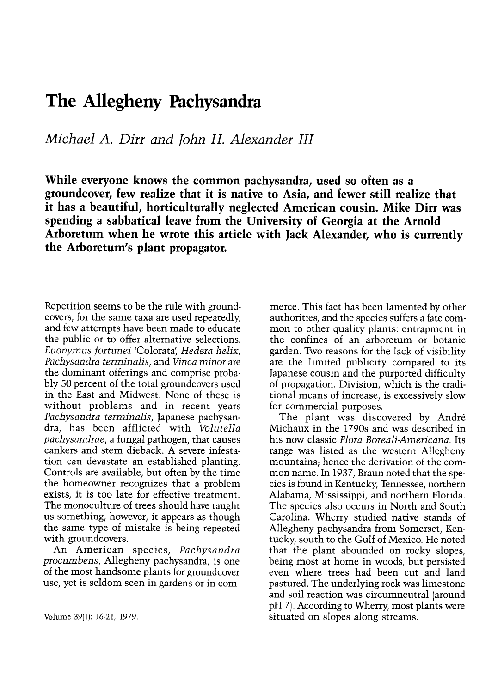## The Allegheny Pachysandra

Michael A. Dirr and John H. Alexander III

While everyone knows the common pachysandra, used so often as a groundcover, few realize that it is native to Asia, and fewer still realize that it has a beautiful, horticulturally neglected American cousin. Mike Dirr was spending a sabbatical leave from the University of Georgia at the Arnold Arboretum when he wrote this article with Jack Alexander, who is currently the Arboretum's plant propagator.

Repetition seems to be the rule with groundcovers, for the same taxa are used repeatedly, and few attempts have been made to educate the public or to offer alternative selections. Euonymus fortunei 'Colorata' Hedera helix, Pachysandra terminalis, and Vinca minor are the dominant offerings and comprise probably 50 percent of the total groundcovers used in the East and Midwest. None of these is without problems and in recent years Pachysandra terminalis, Japanese pachysandra, has been afflicted with Volutella pachysandrae, a fungal pathogen, that causes cankers and stem dieback. A severe infestation can devastate an established planting. Controls are available, but often by the time the homeowner recognizes that a problem exists, it is too late for effective treatment. The monoculture of trees should have taught<br>us something, however, it appears as though the same type of mistake is being repeated with groundcovers.

An American species, Pachysandra procumbens, Allegheny pachysandra, is one of the most handsome plants for groundcover use, yet is seldom seen in gardens or in commerce. This fact has been lamented by other authorities, and the species suffers a fate common to other quality plants: entrapment in the confines of an arboretum or botanic garden. Two reasons for the lack of visibility are the limited publicity compared to its Japanese cousin and the purported difficulty of propagation. Division, which is the traditional means of increase, is excessively slow for commercial purposes.

The plant was discovered by André Michaux in the 1790s and was described in his now classic Flora Boreali-Americana. Its range was listed as the western Allegheny mountains; hence the derivation of the common name. In 1937, Braun noted that the species is found in Kentucky, Tennessee, northern Alabama, Mississippi, and northern Florida. The species also occurs in North and South Carolina. Wherry studied native stands of Allegheny pachysandra from Somerset, Kentucky, south to the Gulf of Mexico. He noted that the plant abounded on rocky slopes, being most at home in woods, but persisted even where trees had been cut and land pastured. The underlying rock was limestone and soil reaction was circumneutral (around pH 7). According to Wherry, most plants were situated on slopes along streams.

Volume 39(1): 16-21, 1979.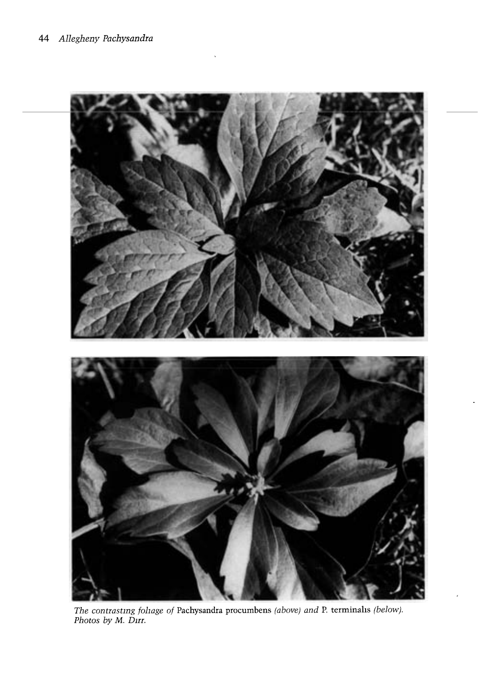

The contrastmg foliage of Pachysandra procumbens (above) and P. terminahs (below). Photos by M. D<mark>irr</mark>.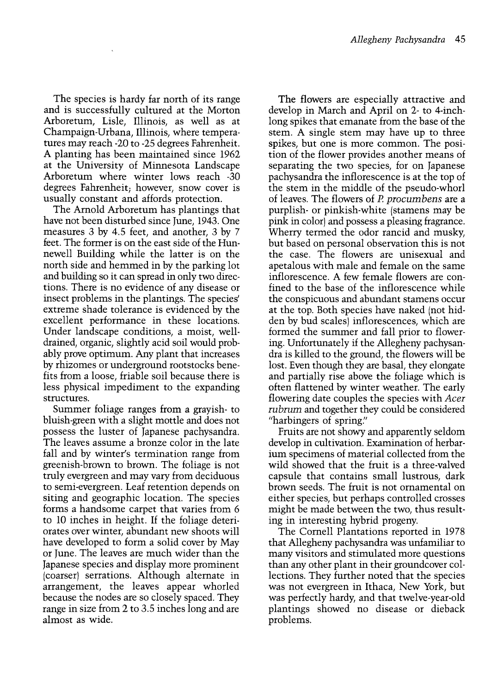The species is hardy far north of its range and is successfully cultured at the Morton Arboretum, Lisle, Illinois, as well as at Champaign-Urbana, Illinois, where temperatures may reach -20 to -25 degrees Fahrenheit. A planting has been maintained since 1962 at the University of Minnesota Landscape Arboretum where winter lows reach -30 degrees Fahrenheit; however, snow cover is usually constant and affords protection.

The Arnold Arboretum has plantings that have not been disturbed since June, 1943. One measures 3 by 4.5 feet, and another, 3 by 7 feet. The former is on the east side of the Hunnewell Building while the latter is on the north side and hemmed in by the parking lot and building so it can spread in only two directions. There is no evidence of any disease or insect problems in the plantings. The species' extreme shade tolerance is evidenced by the excellent performance in these locations. Under landscape conditions, a moist, welldrained, organic, slightly acid soil would probably prove optimum. Any plant that increases by rhizomes or underground rootstocks benefits from a loose, friable soil because there is less physical impediment to the expanding structures.

Summer foliage ranges from a grayish- to bluish-green with a slight mottle and does not possess the luster of Japanese pachysandra. The leaves assume a bronze color in the late fall and by winter's termination range from greenish-brown to brown. The foliage is not truly evergreen and may vary from deciduous to semi-evergreen. Leaf retention depends on siting and geographic location. The species forms a handsome carpet that varies from 6 to 10 inches in height. If the foliage deteriorates over winter, abundant new shoots will or June. The leaves are much wider than the Japanese species and display more prominent (coarser) serrations. Although alternate in arrangement, the leaves appear whorled because the nodes are so closely spaced. They range in size from 2 to 3.5 inches long and are almost as wide.

The flowers are especially attractive and develop in March and April on 2- to 4-inchlong spikes that emanate from the base of the stem. A single stem may have up to three spikes, but one is more common. The position of the flower provides another means of separating the two species, for on Japanese pachysandra the inflorescence is at the top of the stem in the middle of the pseudo-whorl of leaves. The flowers of P. procumbens are a purplish- or pinkish-white (stamens may be pink in color) and possess a pleasing fragrance. Wherry termed the odor rancid and musky, but based on personal observation this is not the case. The flowers are unisexual and apetalous with male and female on the same inflorescence. A few female flowers are confined to the base of the inflorescence while the conspicuous and abundant stamens occur at the top. Both species have naked (not hidden by bud scales) inflorescences, which are formed the summer and fall prior to flowering. Unfortunately if the Allegheny pachysandra is killed to the ground, the flowers will be lost. Even though they are basal, they elongate and partially rise above the foliage which is often flattened by winter weather. The early flowering date couples the species with Acer rubrum and together they could be considered "harbingers of spring."

Fruits are not showy and apparently seldom develop in cultivation. Examination of herbarium specimens of material collected from the wild showed that the fruit is a three-valved capsule that contains small lustrous, dark brown seeds. The fruit is not ornamental on either species, but perhaps controlled crosses might be made between the two, thus resulting in interesting hybrid progeny.

The Cornell Plantations reported in 1978 that Allegheny pachysandra was unfamiliar to many visitors and stimulated more questions than any other plant in their groundcover col-<br>lections. They further noted that the species was not evergreen in Ithaca, New York, but was perfectly hardy, and that twelve-year-old plantings showed no disease or dieback problems.